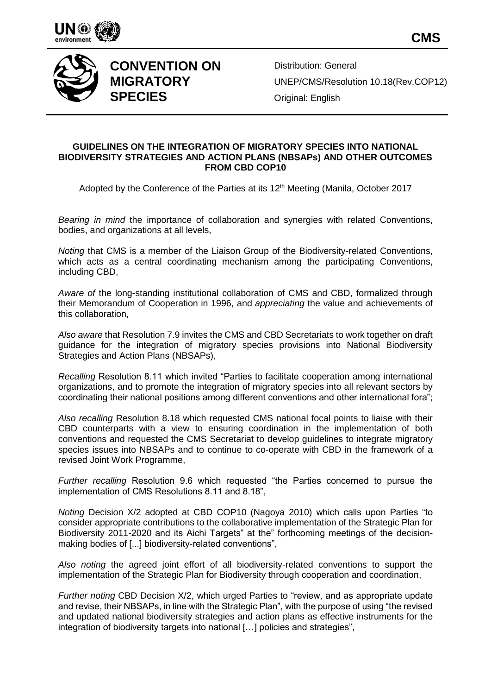



## **CONVENTION ON MIGRATORY SPECIES**

Distribution: General UNEP/CMS/Resolution 10.18(Rev.COP12) Original: English

## **GUIDELINES ON THE INTEGRATION OF MIGRATORY SPECIES INTO NATIONAL BIODIVERSITY STRATEGIES AND ACTION PLANS (NBSAPs) AND OTHER OUTCOMES FROM CBD COP10**

Adopted by the Conference of the Parties at its 12<sup>th</sup> Meeting (Manila, October 2017

*Bearing in mind* the importance of collaboration and synergies with related Conventions, bodies, and organizations at all levels,

*Noting* that CMS is a member of the Liaison Group of the Biodiversity-related Conventions, which acts as a central coordinating mechanism among the participating Conventions, including CBD,

*Aware of* the long-standing institutional collaboration of CMS and CBD, formalized through their Memorandum of Cooperation in 1996, and *appreciating* the value and achievements of this collaboration,

*Also aware* that Resolution 7.9 invites the CMS and CBD Secretariats to work together on draft guidance for the integration of migratory species provisions into National Biodiversity Strategies and Action Plans (NBSAPs),

*Recalling* Resolution 8.11 which invited "Parties to facilitate cooperation among international organizations, and to promote the integration of migratory species into all relevant sectors by coordinating their national positions among different conventions and other international fora";

*Also recalling* Resolution 8.18 which requested CMS national focal points to liaise with their CBD counterparts with a view to ensuring coordination in the implementation of both conventions and requested the CMS Secretariat to develop guidelines to integrate migratory species issues into NBSAPs and to continue to co-operate with CBD in the framework of a revised Joint Work Programme,

*Further recalling* Resolution 9.6 which requested "the Parties concerned to pursue the implementation of CMS Resolutions 8.11 and 8.18",

*Noting* Decision X/2 adopted at CBD COP10 (Nagoya 2010) which calls upon Parties "to consider appropriate contributions to the collaborative implementation of the Strategic Plan for Biodiversity 2011-2020 and its Aichi Targets" at the" forthcoming meetings of the decisionmaking bodies of [...] biodiversity-related conventions",

*Also noting* the agreed joint effort of all biodiversity-related conventions to support the implementation of the Strategic Plan for Biodiversity through cooperation and coordination,

*Further noting* CBD Decision X/2, which urged Parties to "review, and as appropriate update and revise, their NBSAPs, in line with the Strategic Plan", with the purpose of using "the revised and updated national biodiversity strategies and action plans as effective instruments for the integration of biodiversity targets into national […] policies and strategies",